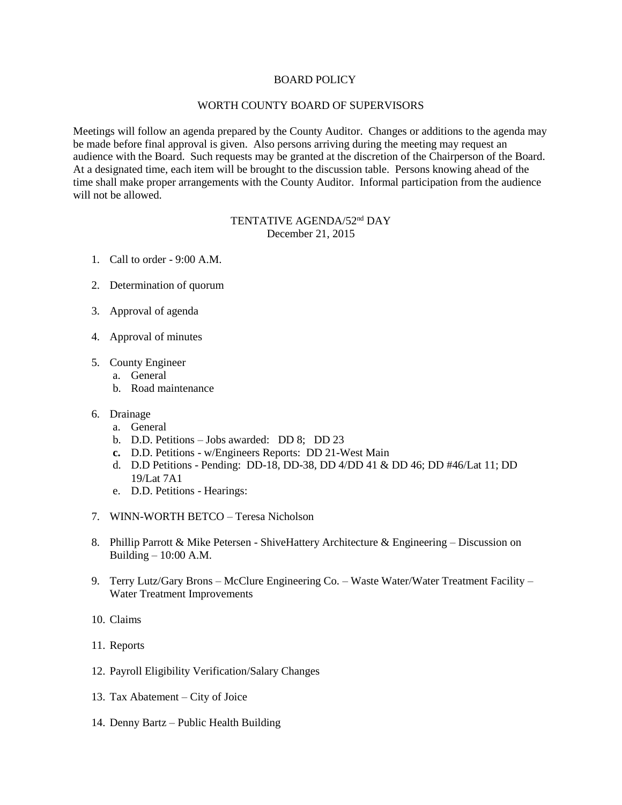## BOARD POLICY

## WORTH COUNTY BOARD OF SUPERVISORS

Meetings will follow an agenda prepared by the County Auditor. Changes or additions to the agenda may be made before final approval is given. Also persons arriving during the meeting may request an audience with the Board. Such requests may be granted at the discretion of the Chairperson of the Board. At a designated time, each item will be brought to the discussion table. Persons knowing ahead of the time shall make proper arrangements with the County Auditor. Informal participation from the audience will not be allowed.

## TENTATIVE AGENDA/52<sup>nd</sup> DAY December 21, 2015

- 1. Call to order 9:00 A.M.
- 2. Determination of quorum
- 3. Approval of agenda
- 4. Approval of minutes
- 5. County Engineer
	- a. General
	- b. Road maintenance
- 6. Drainage
	- a. General
	- b. D.D. Petitions Jobs awarded: DD 8; DD 23
	- **c.** D.D. Petitions w/Engineers Reports: DD 21-West Main
	- d. D.D Petitions Pending: DD-18, DD-38, DD 4/DD 41 & DD 46; DD #46/Lat 11; DD 19/Lat 7A1
	- e. D.D. Petitions Hearings:
- 7. WINN-WORTH BETCO Teresa Nicholson
- 8. Phillip Parrott & Mike Petersen ShiveHattery Architecture & Engineering Discussion on Building  $-10:00$  A.M.
- 9. Terry Lutz/Gary Brons McClure Engineering Co. Waste Water/Water Treatment Facility Water Treatment Improvements
- 10. Claims
- 11. Reports
- 12. Payroll Eligibility Verification/Salary Changes
- 13. Tax Abatement City of Joice
- 14. Denny Bartz Public Health Building